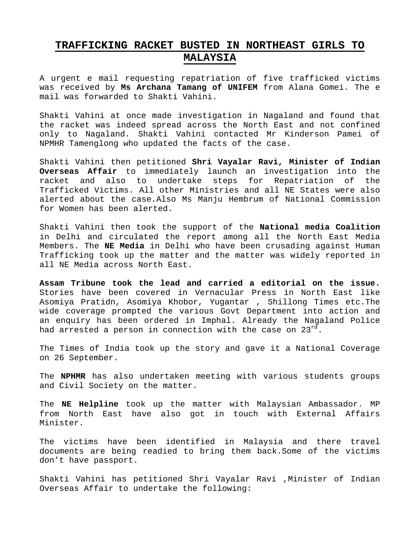## **TRAFFICKING RACKET BUSTED IN NORTHEAST GIRLS TO MALAYSIA**

A urgent e mail requesting repatriation of five trafficked victims was received by **Ms Archana Tamang of UNIFEM** from Alana Gomei. The e mail was forwarded to Shakti Vahini.

Shakti Vahini at once made investigation in Nagaland and found that the racket was indeed spread across the North East and not confined only to Nagaland. Shakti Vahini contacted Mr Kinderson Pamei of NPMHR Tamenglong who updated the facts of the case.

Shakti Vahini then petitioned **Shri Vayalar Ravi, Minister of Indian Overseas Affair** to immediately launch an investigation into the racket and also to undertake steps for Repatriation of the Trafficked Victims. All other Ministries and all NE States were also alerted about the case.Also Ms Manju Hembrum of National Commission for Women has been alerted.

Shakti Vahini then took the support of the **National media Coalition** in Delhi and circulated the report among all the North East Media Members. The **NE Media** in Delhi who have been crusading against Human Trafficking took up the matter and the matter was widely reported in all NE Media across North East.

**Assam Tribune took the lead and carried a editorial on the issue.** Stories have been covered in Vernacular Press in North East like Asomiya Pratidn, Asomiya Khobor, Yugantar , Shillong Times etc.The wide coverage prompted the various Govt Department into action and an enquiry has been ordered in Imphal. Already the Nagaland Police had arrested a person in connection with the case on  $23^{rd}$ .

The Times of India took up the story and gave it a National Coverage on 26 September.

The **NPHMR** has also undertaken meeting with various students groups and Civil Society on the matter.

The **NE Helpline** took up the matter with Malaysian Ambassador. MP from North East have also got in touch with External Affairs Minister.

The victims have been identified in Malaysia and there travel documents are being readied to bring them back.Some of the victims don't have passport.

Shakti Vahini has petitioned Shri Vayalar Ravi ,Minister of Indian Overseas Affair to undertake the following: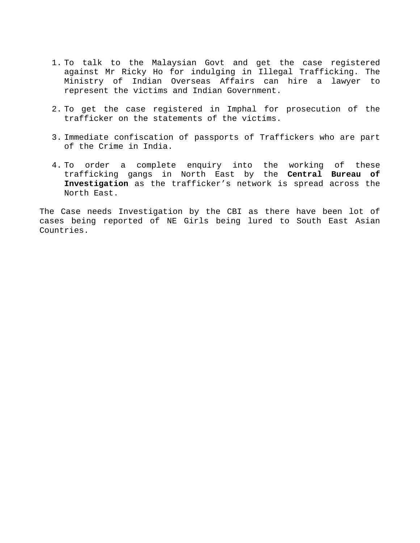- 1. To talk to the Malaysian Govt and get the case registered against Mr Ricky Ho for indulging in Illegal Trafficking. The Ministry of Indian Overseas Affairs can hire a lawyer to represent the victims and Indian Government.
- 2. To get the case registered in Imphal for prosecution of the trafficker on the statements of the victims.
- 3. Immediate confiscation of passports of Traffickers who are part of the Crime in India.
- 4. To order a complete enquiry into the working of these trafficking gangs in North East by the **Central Bureau of Investigation** as the trafficker's network is spread across the North East.

The Case needs Investigation by the CBI as there have been lot of cases being reported of NE Girls being lured to South East Asian Countries.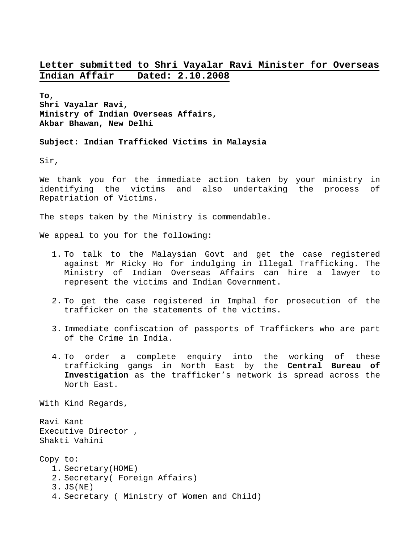#### **Letter submitted to Shri Vayalar Ravi Minister for Overseas Indian Affair Dated: 2.10.2008**

**To, Shri Vayalar Ravi, Ministry of Indian Overseas Affairs, Akbar Bhawan, New Delhi** 

**Subject: Indian Trafficked Victims in Malaysia** 

Sir,

We thank you for the immediate action taken by your ministry in identifying the victims and also undertaking the process of Repatriation of Victims.

The steps taken by the Ministry is commendable.

We appeal to you for the following:

- 1. To talk to the Malaysian Govt and get the case registered against Mr Ricky Ho for indulging in Illegal Trafficking. The Ministry of Indian Overseas Affairs can hire a lawyer to represent the victims and Indian Government.
- 2. To get the case registered in Imphal for prosecution of the trafficker on the statements of the victims.
- 3. Immediate confiscation of passports of Traffickers who are part of the Crime in India.
- 4. To order a complete enquiry into the working of these trafficking gangs in North East by the **Central Bureau of Investigation** as the trafficker's network is spread across the North East.

With Kind Regards,

Ravi Kant Executive Director , Shakti Vahini

Copy to: 1. Secretary(HOME) 2. Secretary( Foreign Affairs) 3. JS(NE) 4. Secretary ( Ministry of Women and Child)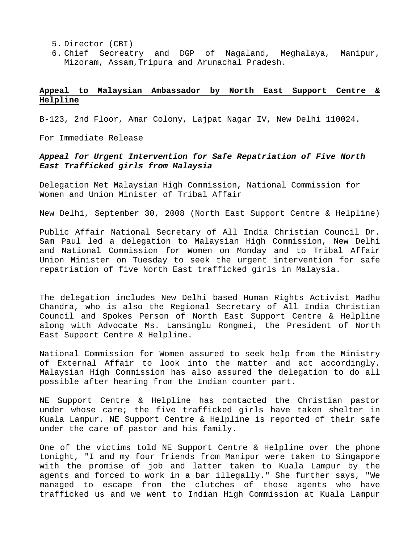- 5. Director (CBI)
- 6. Chief Secreatry and DGP of Nagaland, Meghalaya, Manipur, Mizoram, Assam,Tripura and Arunachal Pradesh.

#### **Appeal to Malaysian Ambassador by North East Support Centre & Helpline**

B-123, 2nd Floor, Amar Colony, Lajpat Nagar IV, New Delhi 110024.

For Immediate Release

#### *Appeal for Urgent Intervention for Safe Repatriation of Five North East Trafficked girls from Malaysia*

Delegation Met Malaysian High Commission, National Commission for Women and Union Minister of Tribal Affair

New Delhi, September 30, 2008 (North East Support Centre & Helpline)

Public Affair National Secretary of All India Christian Council Dr. Sam Paul led a delegation to Malaysian High Commission, New Delhi and National Commission for Women on Monday and to Tribal Affair Union Minister on Tuesday to seek the urgent intervention for safe repatriation of five North East trafficked girls in Malaysia.

The delegation includes New Delhi based Human Rights Activist Madhu Chandra, who is also the Regional Secretary of All India Christian Council and Spokes Person of North East Support Centre & Helpline along with Advocate Ms. Lansinglu Rongmei, the President of North East Support Centre & Helpline.

National Commission for Women assured to seek help from the Ministry of External Affair to look into the matter and act accordingly. Malaysian High Commission has also assured the delegation to do all possible after hearing from the Indian counter part.

NE Support Centre & Helpline has contacted the Christian pastor under whose care; the five trafficked girls have taken shelter in Kuala Lampur. NE Support Centre & Helpline is reported of their safe under the care of pastor and his family.

One of the victims told NE Support Centre & Helpline over the phone tonight, "I and my four friends from Manipur were taken to Singapore with the promise of job and latter taken to Kuala Lampur by the agents and forced to work in a bar illegally." She further says, "We managed to escape from the clutches of those agents who have trafficked us and we went to Indian High Commission at Kuala Lampur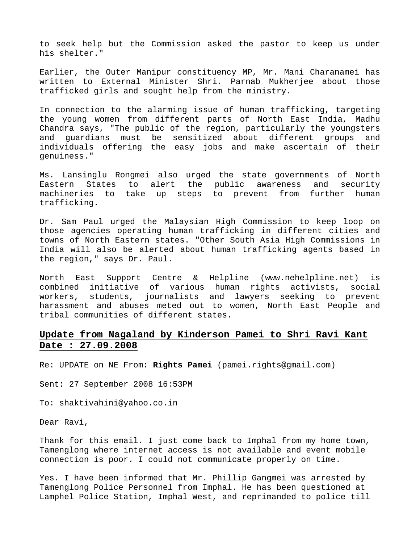to seek help but the Commission asked the pastor to keep us under his shelter."

Earlier, the Outer Manipur constituency MP, Mr. Mani Charanamei has written to External Minister Shri. Parnab Mukherjee about those trafficked girls and sought help from the ministry.

In connection to the alarming issue of human trafficking, targeting the young women from different parts of North East India, Madhu Chandra says, "The public of the region, particularly the youngsters and guardians must be sensitized about different groups and individuals offering the easy jobs and make ascertain of their genuiness."

Ms. Lansinglu Rongmei also urged the state governments of North Eastern States to alert the public awareness and security machineries to take up steps to prevent from further human trafficking.

Dr. Sam Paul urged the Malaysian High Commission to keep loop on those agencies operating human trafficking in different cities and towns of North Eastern states. "Other South Asia High Commissions in India will also be alerted about human trafficking agents based in the region," says Dr. Paul.

North East Support Centre & Helpline ([www.nehelpline.net](http://www.nehelpline.net/)) is combined initiative of various human rights activists, social workers, students, journalists and lawyers seeking to prevent harassment and abuses meted out to women, North East People and tribal communities of different states.

#### **Update from Nagaland by Kinderson Pamei to Shri Ravi Kant Date : 27.09.2008**

Re: UPDATE on NE From: **Rights Pamei** ([pamei.rights@gmail.com](mailto:pamei.rights@gmail.com))

Sent: 27 September 2008 16:53PM

To: shaktivahini@yahoo.co.in

Dear Ravi,

Thank for this email. I just come back to Imphal from my home town, Tamenglong where internet access is not available and event mobile connection is poor. I could not communicate properly on time.

Yes. I have been informed that Mr. Phillip Gangmei was arrested by Tamenglong Police Personnel from Imphal. He has been questioned at Lamphel Police Station, Imphal West, and reprimanded to police till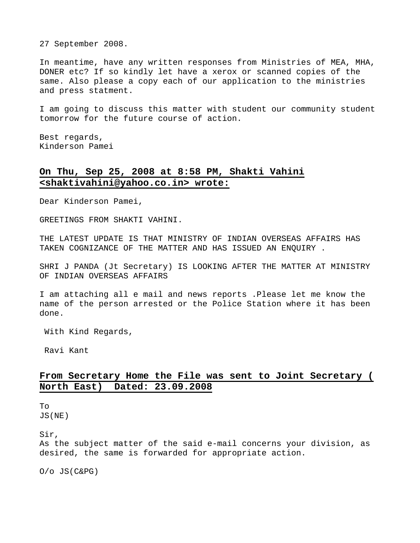27 September 2008.

In meantime, have any written responses from Ministries of MEA, MHA, DONER etc? If so kindly let have a xerox or scanned copies of the same. Also please a copy each of our application to the ministries and press statment.

I am going to discuss this matter with student our community student tomorrow for the future course of action.

Best regards, Kinderson Pamei

#### **On Thu, Sep 25, 2008 at 8:58 PM, Shakti Vahini <shaktivahini@yahoo.co.in> wrote:**

Dear Kinderson Pamei,

GREETINGS FROM SHAKTI VAHINI.

THE LATEST UPDATE IS THAT MINISTRY OF INDIAN OVERSEAS AFFAIRS HAS TAKEN COGNIZANCE OF THE MATTER AND HAS ISSUED AN ENQUIRY .

SHRI J PANDA (Jt Secretary) IS LOOKING AFTER THE MATTER AT MINISTRY OF INDIAN OVERSEAS AFFAIRS

I am attaching all e mail and news reports .Please let me know the name of the person arrested or the Police Station where it has been done.

With Kind Regards,

Ravi Kant

#### **From Secretary Home the File was sent to Joint Secretary ( North East) Dated: 23.09.2008**

To JS(NE)

Sir,

As the subject matter of the said e-mail concerns your division, as desired, the same is forwarded for appropriate action.

O/o JS(C&PG)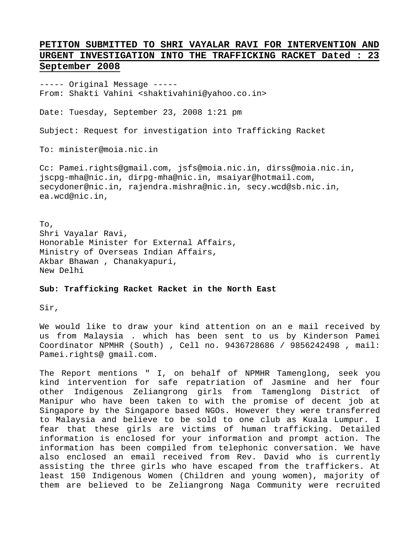#### **PETITON SUBMITTED TO SHRI VAYALAR RAVI FOR INTERVENTION AND URGENT INVESTIGATION INTO THE TRAFFICKING RACKET Dated : 23 September 2008**

----- Original Message ----- From: Shakti Vahini <shaktivahini@yahoo.co.in>

Date: Tuesday, September 23, 2008 1:21 pm

Subject: Request for investigation into Trafficking Racket

To: minister@moia.nic.in

Cc: Pamei.rights@gmail.com, jsfs@moia.nic.in, dirss@moia.nic.in, jscpg-mha@nic.in, dirpg-mha@nic.in, msaiyar@hotmail.com, secydoner@nic.in, rajendra.mishra@nic.in, secy.wcd@sb.nic.in, ea.wcd@nic.in,

To, Shri Vayalar Ravi, Honorable Minister for External Affairs, Ministry of Overseas Indian Affairs, Akbar Bhawan , Chanakyapuri, New Delhi

**Sub: Trafficking Racket Racket in the North East** 

Sir,

We would like to draw your kind attention on an e mail received by us from Malaysia . which has been sent to us by Kinderson Pamei Coordinator NPMHR (South) , Cell no. 9436728686 / 9856242498 , mail: Pamei.rights@ gmail.com.

The Report mentions " I, on behalf of NPMHR Tamenglong, seek you kind intervention for safe repatriation of Jasmine and her four other Indigenous Zeliangrong girls from Tamenglong District of Manipur who have been taken to with the promise of decent job at Singapore by the Singapore based NGOs. However they were transferred to Malaysia and believe to be sold to one club as Kuala Lumpur. I fear that these girls are victims of human trafficking. Detailed information is enclosed for your information and prompt action. The information has been compiled from telephonic conversation. We have also enclosed an email received from Rev. David who is currently assisting the three girls who have escaped from the traffickers. At least 150 Indigenous Women (Children and young women), majority of them are believed to be Zeliangrong Naga Community were recruited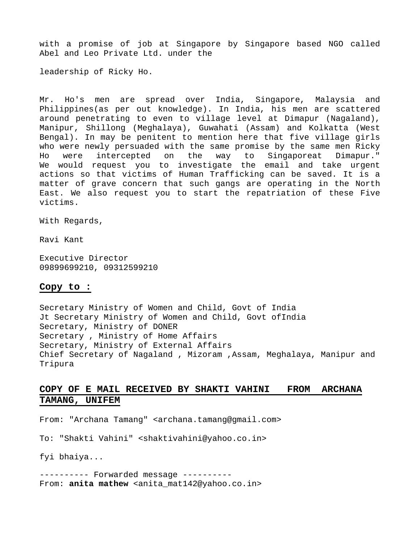with a promise of job at Singapore by Singapore based NGO called Abel and Leo Private Ltd. under the

leadership of Ricky Ho.

Mr. Ho's men are spread over India, Singapore, Malaysia and Philippines(as per out knowledge). In India, his men are scattered around penetrating to even to village level at Dimapur (Nagaland), Manipur, Shillong (Meghalaya), Guwahati (Assam) and Kolkatta (West Bengal). In may be penitent to mention here that five village girls who were newly persuaded with the same promise by the same men Ricky Ho were intercepted on the way to Singaporeat Dimapur." We would request you to investigate the email and take urgent actions so that victims of Human Trafficking can be saved. It is a matter of grave concern that such gangs are operating in the North East. We also request you to start the repatriation of these Five victims.

With Regards,

Ravi Kant

Executive Director 09899699210, 09312599210

#### **Copy to :**

Secretary Ministry of Women and Child, Govt of India Jt Secretary Ministry of Women and Child, Govt ofIndia Secretary, Ministry of DONER Secretary , Ministry of Home Affairs Secretary, Ministry of External Affairs Chief Secretary of Nagaland , Mizoram ,Assam, Meghalaya, Manipur and Tripura

#### **COPY OF E MAIL RECEIVED BY SHAKTI VAHINI FROM ARCHANA TAMANG, UNIFEM**

From: "Archana Tamang" <archana.tamang@gmail.com>

To: "Shakti Vahini" <shaktivahini@yahoo.co.in>

fyi bhaiya...

---------- Forwarded message ---------- From: **anita mathew** <[anita\\_mat142@yahoo.co.in](http://in.mc946.mail.yahoo.com/mc/compose?to=anita_mat142@yahoo.co.in)>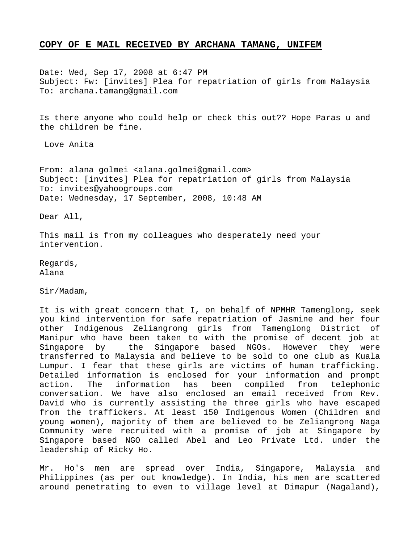#### **COPY OF E MAIL RECEIVED BY ARCHANA TAMANG, UNIFEM**

Date: Wed, Sep 17, 2008 at 6:47 PM Subject: Fw: [invites] Plea for repatriation of girls from Malaysia To: [archana.tamang@gmail.com](http://in.mc946.mail.yahoo.com/mc/compose?to=archana.tamang@gmail.com)

Is there anyone who could help or check this out?? Hope Paras u and the children be fine.

Love Anita

From: alana golmei <alana.golmei@gmail.com> Subject: [invites] Plea for repatriation of girls from Malaysia To: invites@yahoogroups.com Date: Wednesday, 17 September, 2008, 10:48 AM

Dear All,

This mail is from my colleagues who desperately need your intervention.

Regards, Alana

Sir/Madam,

It is with great concern that I, on behalf of NPMHR Tamenglong, seek you kind intervention for safe repatriation of Jasmine and her four other Indigenous Zeliangrong girls from Tamenglong District of Manipur who have been taken to with the promise of decent job at Singapore by the Singapore based NGOs. However they were transferred to Malaysia and believe to be sold to one club as Kuala Lumpur. I fear that these girls are victims of human trafficking. Detailed information is enclosed for your information and prompt action. The information has been compiled from telephonic conversation. We have also enclosed an email received from Rev. David who is currently assisting the three girls who have escaped from the traffickers. At least 150 Indigenous Women (Children and young women), majority of them are believed to be Zeliangrong Naga Community were recruited with a promise of job at Singapore by Singapore based NGO called Abel and Leo Private Ltd. under the leadership of Ricky Ho.

Mr. Ho's men are spread over India, Singapore, Malaysia and Philippines (as per out knowledge). In India, his men are scattered around penetrating to even to village level at Dimapur (Nagaland),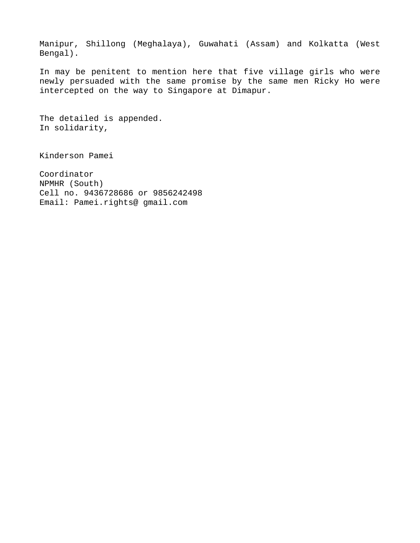Manipur, Shillong (Meghalaya), Guwahati (Assam) and Kolkatta (West Bengal).

In may be penitent to mention here that five village girls who were newly persuaded with the same promise by the same men Ricky Ho were intercepted on the way to Singapore at Dimapur.

The detailed is appended. In solidarity,

Kinderson Pamei

Coordinator NPMHR (South) Cell no. 9436728686 or 9856242498 Email: Pamei.rights@ gmail.com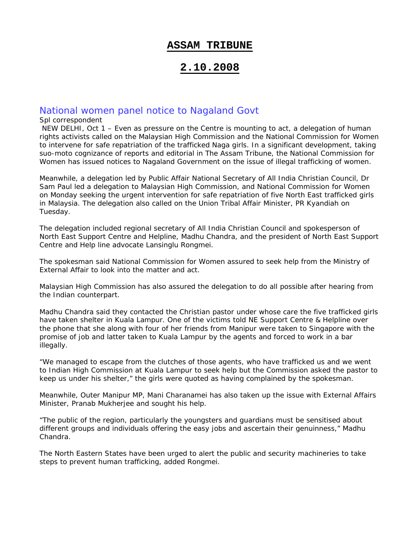#### **ASSAM TRIBUNE**

## **2.10.2008**

#### National women panel notice to Nagaland Govt

#### Spl correspondent

 NEW DELHI, Oct 1 – Even as pressure on the Centre is mounting to act, a delegation of human rights activists called on the Malaysian High Commission and the National Commission for Women to intervene for safe repatriation of the trafficked Naga girls. In a significant development, taking suo-moto cognizance of reports and editorial in *The Assam Tribune*, the National Commission for Women has issued notices to Nagaland Government on the issue of illegal trafficking of women.

Meanwhile, a delegation led by Public Affair National Secretary of All India Christian Council, Dr Sam Paul led a delegation to Malaysian High Commission, and National Commission for Women on Monday seeking the urgent intervention for safe repatriation of five North East trafficked girls in Malaysia. The delegation also called on the Union Tribal Affair Minister, PR Kyandiah on Tuesday.

The delegation included regional secretary of All India Christian Council and spokesperson of North East Support Centre and Helpline, Madhu Chandra, and the president of North East Support Centre and Help line advocate Lansinglu Rongmei.

The spokesman said National Commission for Women assured to seek help from the Ministry of External Affair to look into the matter and act.

Malaysian High Commission has also assured the delegation to do all possible after hearing from the Indian counterpart.

Madhu Chandra said they contacted the Christian pastor under whose care the five trafficked girls have taken shelter in Kuala Lampur. One of the victims told NE Support Centre & Helpline over the phone that she along with four of her friends from Manipur were taken to Singapore with the promise of job and latter taken to Kuala Lampur by the agents and forced to work in a bar illegally.

"We managed to escape from the clutches of those agents, who have trafficked us and we went to Indian High Commission at Kuala Lampur to seek help but the Commission asked the pastor to keep us under his shelter," the girls were quoted as having complained by the spokesman.

Meanwhile, Outer Manipur MP, Mani Charanamei has also taken up the issue with External Affairs Minister, Pranab Mukherjee and sought his help.

"The public of the region, particularly the youngsters and guardians must be sensitised about different groups and individuals offering the easy jobs and ascertain their genuinness," Madhu Chandra.

The North Eastern States have been urged to alert the public and security machineries to take steps to prevent human trafficking, added Rongmei.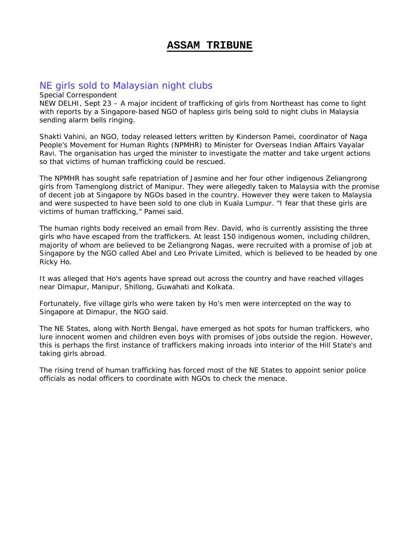## **ASSAM TRIBUNE**

## NE girls sold to Malaysian night clubs

Special Correspondent

NEW DELHI, Sept 23 – A major incident of trafficking of girls from Northeast has come to light with reports by a Singapore-based NGO of hapless girls being sold to night clubs in Malaysia sending alarm bells ringing.

Shakti Vahini, an NGO, today released letters written by Kinderson Pamei, coordinator of Naga People's Movement for Human Rights (NPMHR) to Minister for Overseas Indian Affairs Vayalar Ravi. The organisation has urged the minister to investigate the matter and take urgent actions so that victims of human trafficking could be rescued.

The NPMHR has sought safe repatriation of Jasmine and her four other indigenous Zeliangrong girls from Tamenglong district of Manipur. They were allegedly taken to Malaysia with the promise of decent job at Singapore by NGOs based in the country. However they were taken to Malaysia and were suspected to have been sold to one club in Kuala Lumpur. "I fear that these girls are victims of human trafficking," Pamei said.

The human rights body received an email from Rev. David, who is currently assisting the three girls who have escaped from the traffickers. At least 150 indigenous women, including children, majority of whom are believed to be Zeliangrong Nagas, were recruited with a promise of job at Singapore by the NGO called Abel and Leo Private Limited, which is believed to be headed by one Ricky Ho.

It was alleged that Ho's agents have spread out across the country and have reached villages near Dimapur, Manipur, Shillong, Guwahati and Kolkata.

Fortunately, five village girls who were taken by Ho's men were intercepted on the way to Singapore at Dimapur, the NGO said.

The NE States, along with North Bengal, have emerged as hot spots for human traffickers, who lure innocent women and children even boys with promises of jobs outside the region. However, this is perhaps the first instance of traffickers making inroads into interior of the Hill State's and taking girls abroad.

The rising trend of human trafficking has forced most of the NE States to appoint senior police officials as nodal officers to coordinate with NGOs to check the menace.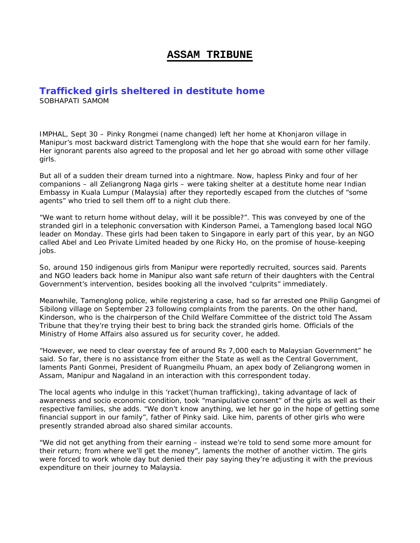#### **ASSAM TRIBUNE**

## **Trafficked girls sheltered in destitute home**

SOBHAPATI SAMOM

IMPHAL, Sept 30 – Pinky Rongmei (name changed) left her home at Khonjaron village in Manipur's most backward district Tamenglong with the hope that she would earn for her family. Her ignorant parents also agreed to the proposal and let her go abroad with some other village girls.

But all of a sudden their dream turned into a nightmare. Now, hapless Pinky and four of her companions – all Zeliangrong Naga girls – were taking shelter at a destitute home near Indian Embassy in Kuala Lumpur (Malaysia) after they reportedly escaped from the clutches of "some agents" who tried to sell them off to a night club there.

"We want to return home without delay, will it be possible?". This was conveyed by one of the stranded girl in a telephonic conversation with Kinderson Pamei, a Tamenglong based local NGO leader on Monday. These girls had been taken to Singapore in early part of this year, by an NGO called Abel and Leo Private Limited headed by one Ricky Ho, on the promise of house-keeping iobs.

So, around 150 indigenous girls from Manipur were reportedly recruited, sources said. Parents and NGO leaders back home in Manipur also want safe return of their daughters with the Central Government's intervention, besides booking all the involved "culprits" immediately.

Meanwhile, Tamenglong police, while registering a case, had so far arrested one Philip Gangmei of Sibilong village on September 23 following complaints from the parents. On the other hand, Kinderson, who is the chairperson of the Child Welfare Committee of the district told *The Assam Tribune* that they're trying their best to bring back the stranded girls home. Officials of the Ministry of Home Affairs also assured us for security cover, he added.

"However, we need to clear overstay fee of around Rs 7,000 each to Malaysian Government" he said. So far, there is no assistance from either the State as well as the Central Government, laments Panti Gonmei, President of Ruangmeilu Phuam, an apex body of Zeliangrong women in Assam, Manipur and Nagaland in an interaction with this correspondent today.

The local agents who indulge in this 'racket'(human trafficking), taking advantage of lack of awareness and socio economic condition, took "manipulative consent" of the girls as well as their respective families, she adds. "We don't know anything, we let her go in the hope of getting some financial support in our family", father of Pinky said. Like him, parents of other girls who were presently stranded abroad also shared similar accounts.

"We did not get anything from their earning – instead we're told to send some more amount for their return; from where we'll get the money", laments the mother of another victim. The girls were forced to work whole day but denied their pay saying they're adjusting it with the previous expenditure on their journey to Malaysia.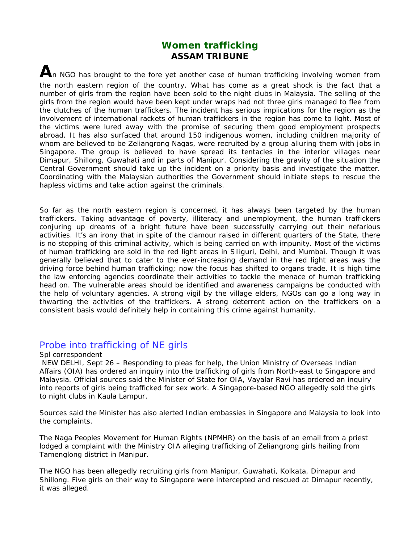## **Women trafficking ASSAM TRIBUNE**

An NGO has brought to the fore yet another case of human trafficking involving women from the north eastern region of the country. What has come as a great shock is the fact that a number of girls from the region have been sold to the night clubs in Malaysia. The selling of the girls from the region would have been kept under wraps had not three girls managed to flee from the clutches of the human traffickers. The incident has serious implications for the region as the involvement of international rackets of human traffickers in the region has come to light. Most of the victims were lured away with the promise of securing them good employment prospects abroad. It has also surfaced that around 150 indigenous women, including children majority of whom are believed to be Zeliangrong Nagas, were recruited by a group alluring them with jobs in Singapore. The group is believed to have spread its tentacles in the interior villages near Dimapur, Shillong, Guwahati and in parts of Manipur. Considering the gravity of the situation the Central Government should take up the incident on a priority basis and investigate the matter. Coordinating with the Malaysian authorities the Government should initiate steps to rescue the hapless victims and take action against the criminals.

So far as the north eastern region is concerned, it has always been targeted by the human traffickers. Taking advantage of poverty, illiteracy and unemployment, the human traffickers conjuring up dreams of a bright future have been successfully carrying out their nefarious activities. It's an irony that in spite of the clamour raised in different quarters of the State, there is no stopping of this criminal activity, which is being carried on with impunity. Most of the victims of human trafficking are sold in the red light areas in Siliguri, Delhi, and Mumbai. Though it was generally believed that to cater to the ever-increasing demand in the red light areas was the driving force behind human trafficking; now the focus has shifted to organs trade. It is high time the law enforcing agencies coordinate their activities to tackle the menace of human trafficking head on. The vulnerable areas should be identified and awareness campaigns be conducted with the help of voluntary agencies. A strong vigil by the village elders, NGOs can go a long way in thwarting the activities of the traffickers. A strong deterrent action on the traffickers on a consistent basis would definitely help in containing this crime against humanity.

#### Probe into trafficking of NE girls

#### Spl correspondent

 NEW DELHI, Sept 26 – Responding to pleas for help, the Union Ministry of Overseas Indian Affairs (OIA) has ordered an inquiry into the trafficking of girls from North-east to Singapore and Malaysia. Official sources said the Minister of State for OIA, Vayalar Ravi has ordered an inquiry into reports of girls being trafficked for sex work. A Singapore-based NGO allegedly sold the girls to night clubs in Kaula Lampur.

Sources said the Minister has also alerted Indian embassies in Singapore and Malaysia to look into the complaints.

The Naga Peoples Movement for Human Rights (NPMHR) on the basis of an email from a priest lodged a complaint with the Ministry OIA alleging trafficking of Zeliangrong girls hailing from Tamenglong district in Manipur.

The NGO has been allegedly recruiting girls from Manipur, Guwahati, Kolkata, Dimapur and Shillong. Five girls on their way to Singapore were intercepted and rescued at Dimapur recently, it was alleged.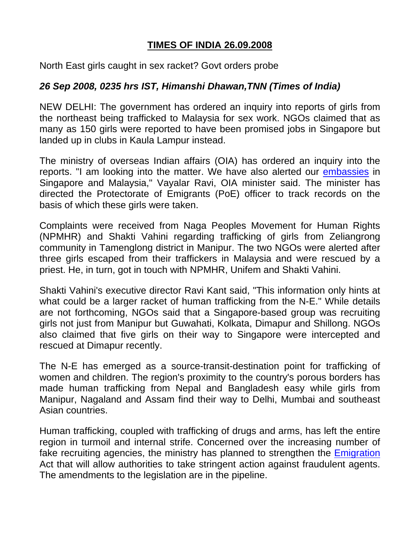## **TIMES OF INDIA 26.09.2008**

North East girls caught in sex racket? Govt orders probe

## *26 Sep 2008, 0235 hrs IST, Himanshi Dhawan,TNN (Times of India)*

NEW DELHI: The government has ordered an inquiry into reports of girls from the northeast being trafficked to Malaysia for sex work. NGOs claimed that as many as 150 girls were reported to have been promised jobs in Singapore but landed up in clubs in Kaula Lampur instead.

The ministry of overseas Indian affairs (OIA) has ordered an inquiry into the reports. "I am looking into the matter. We have also alerted our [embassies](http://timesofindia.indiatimes.com/India/North_East_girls_caught_in_sex_racket_Govt_orders_probe/articleshow/3528699.cms) in Singapore and Malaysia," Vayalar Ravi, OIA minister said. The minister has directed the Protectorate of Emigrants (PoE) officer to track records on the basis of which these girls were taken.

Complaints were received from Naga Peoples Movement for Human Rights (NPMHR) and Shakti Vahini regarding trafficking of girls from Zeliangrong community in Tamenglong district in Manipur. The two NGOs were alerted after three girls escaped from their traffickers in Malaysia and were rescued by a priest. He, in turn, got in touch with NPMHR, Unifem and Shakti Vahini.

Shakti Vahini's executive director Ravi Kant said, "This information only hints at what could be a larger racket of human trafficking from the N-E." While details are not forthcoming, NGOs said that a Singapore-based group was recruiting girls not just from Manipur but Guwahati, Kolkata, Dimapur and Shillong. NGOs also claimed that five girls on their way to Singapore were intercepted and rescued at Dimapur recently.

The N-E has emerged as a source-transit-destination point for trafficking of women and children. The region's proximity to the country's porous borders has made human trafficking from Nepal and Bangladesh easy while girls from Manipur, Nagaland and Assam find their way to Delhi, Mumbai and southeast Asian countries.

Human trafficking, coupled with trafficking of drugs and arms, has left the entire region in turmoil and internal strife. Concerned over the increasing number of fake recruiting agencies, the ministry has planned to strengthen the [Emigration](http://timesofindia.indiatimes.com/India/North_East_girls_caught_in_sex_racket_Govt_orders_probe/articleshow/3528699.cms) Act that will allow authorities to take stringent action against fraudulent agents. The amendments to the legislation are in the pipeline.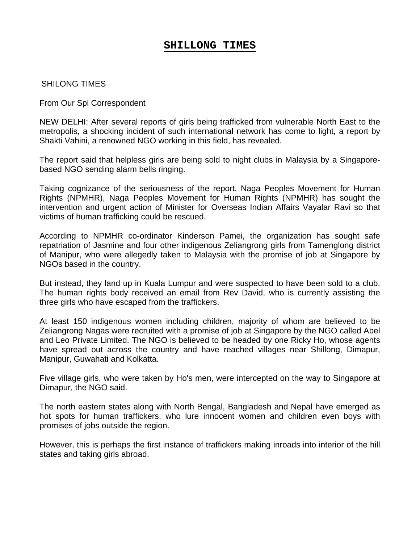## **SHILLONG TIMES**

#### SHILONG TIMES

From Our Spl Correspondent

NEW DELHI: After several reports of girls being trafficked from vulnerable North East to the metropolis, a shocking incident of such international network has come to light, a report by Shakti Vahini, a renowned NGO working in this field, has revealed.

The report said that helpless girls are being sold to night clubs in Malaysia by a Singaporebased NGO sending alarm bells ringing.

Taking cognizance of the seriousness of the report, Naga Peoples Movement for Human Rights (NPMHR), Naga Peoples Movement for Human Rights (NPMHR) has sought the intervention and urgent action of Minister for Overseas Indian Affairs Vayalar Ravi so that victims of human trafficking could be rescued.

According to NPMHR co-ordinator Kinderson Pamei, the organization has sought safe repatriation of Jasmine and four other indigenous Zeliangrong girls from Tamenglong district of Manipur, who were allegedly taken to Malaysia with the promise of job at Singapore by NGOs based in the country.

But instead, they land up in Kuala Lumpur and were suspected to have been sold to a club. The human rights body received an email from Rev David, who is currently assisting the three girls who have escaped from the traffickers.

At least 150 indigenous women including children, majority of whom are believed to be Zeliangrong Nagas were recruited with a promise of job at Singapore by the NGO called Abel and Leo Private Limited. The NGO is believed to be headed by one Ricky Ho, whose agents have spread out across the country and have reached villages near Shillong, Dimapur, Manipur, Guwahati and Kolkatta.

Five village girls, who were taken by Ho's men, were intercepted on the way to Singapore at Dimapur, the NGO said.

The north eastern states along with North Bengal, Bangladesh and Nepal have emerged as hot spots for human traffickers, who lure innocent women and children even boys with promises of jobs outside the region.

However, this is perhaps the first instance of traffickers making inroads into interior of the hill states and taking girls abroad.